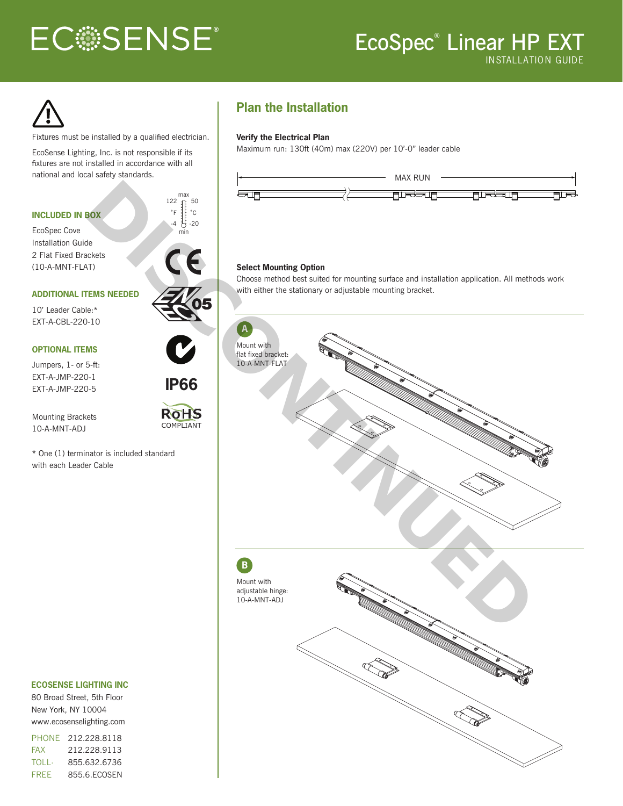# **ECSSENSE®**

# EcoSpec® Linear HP EXT INSTALLATION GUIDE



Fixtures must be installed by a qualified electrician.

EcoSense Lighting, Inc. is not responsible if its fixtures are not installed in accordance with all



COMPLIANT

#### Mounting Brackets 10-A-MNT-ADJ

\* One (1) terminator is included standard with each Leader Cable

#### **ECOSENSE LIGHTING INC**

80 Broad Street, 5th Floor New York, NY 10004 www.ecosenselighting.com

PHONE 212.228.8118 FAX 212.228.9113 **TOLL-**FREE 855.632.6736 855.6.ECOSEN

## **Plan the Installation**

#### **Verify the Electrical Plan**

Maximum run: 130ft (40m) max (220V) per 10'-0" leader cable



#### **Select Mounting Option**

Choose method best suited for mounting surface and installation application. All methods work with either the stationary or adjustable mounting bracket.